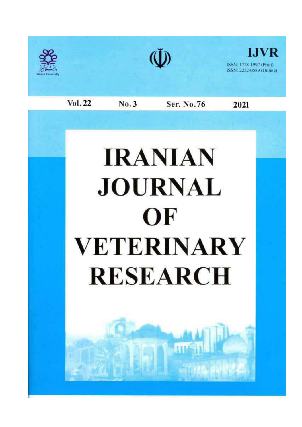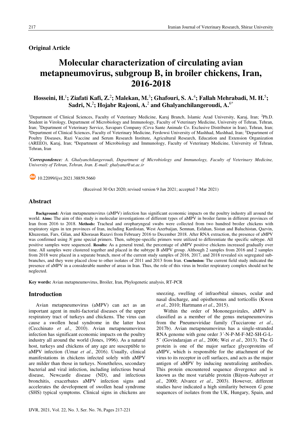**Original Article** 

# Molecular characterization of circulating avian metapneumovirus, subgroup B, in broiler chickens, Iran, 2016-2018

# Hosseini, H.<sup>1</sup>; Ziafati Kafi, Z.<sup>2</sup>; Malekan, M.<sup>3</sup>; Ghafouri, S. A.<sup>4</sup>; Fallah Mehrabadi, M. H.<sup>5</sup>; Sadri, N.<sup>2</sup>; Hojabr Rajeoni, A.<sup>2</sup> and Ghalyanchilangeroudi, A.<sup>6\*</sup>

<sup>1</sup>Department of Clinical Sciences, Faculty of Veterinary Medicine, Karaj Branch, Islamic Azad University, Karaj, Iran; <sup>2</sup>Ph.D. Student in Virology, Department of Microbiology and Immunology, Faculty of Veterinary Medicine, University of Tehran, Tehran, Iran; <sup>3</sup>Department of Veterinary Service, Savapars Company (Ceva Sante Animale Co. Exclusive Distributor in Iran), Tehran, Iran; <sup>4</sup>Department of Clinical Sciences, Faculty of Veterinary Medicine, Ferdowsi University of Mashhad, Mashhad, Iran; <sup>5</sup>Department of Poultry Diseases, Razi Vaccine and Serum Research Institute, Agricultural Research, Education and Extension Organization (AREEO), Karaj, Iran; <sup>6</sup>Department of Microbiology and Immunology, Faculty of Veterinary Medicine, University of Tehran, Tehran, Iran

\*Correspondence: A. Ghalvanchilangeroudi, Department of Microbiology and Immunology, Faculty of Veterinary Medicine, University of Tehran, Tehran, Iran. E-mail: ghalyana@ut.ac.ir

 $\bigcirc$  10.22099/ijvr.2021.38859.5660

(Received 30 Oct 2020; revised version 9 Jan 2021; accepted 7 Mar 2021)

#### **Abstract**

Background: Avian metapneumovirus (aMPV) infection has significant economic impacts on the poultry industry all around the world. Aims: The aim of this study is molecular investigations of different types of aMPV in broiler farms in different provinces of Iran from 2016 to 2018. Methods: Tracheal and oropharyngeal swabs were collected from two hundred broiler chickens with respiratory signs in ten provinces of Iran, including Kurdistan, West Azerbaijan, Semnan, Esfahan, Sistan and Baluchistan, Qazvin, Khuzestan, Fars, Gilan, and Khorasan Razavi from February 2016 to December 2018. After RNA extraction, the presence of aMPV was confirmed using N gene special primers. Then, subtype-specific primers were utilized to differentiate the specific subtype. All positive samples were sequenced. Results: As a general trend, the percentage of aMPV positive chickens increased gradually over time. All samples were clustered together and placed in the subtype B aMPV group. Although 2 samples from 2016 and 2 samples from 2018 were placed in a separate branch, most of the current study samples of 2016, 2017, and 2018 revealed six segregated subbranches, and they were placed close to other isolates of 2011 and 2013 from Iran. Conclusion: The current field study indicated the presence of aMPV in a considerable number of areas in Iran. Thus, the role of this virus in broiler respiratory complex should not be neglected.

Key words: Avian metapneumovirus, Broiler, Iran, Phylogenetic analysis, RT-PCR

## **Introduction**

Avian metapneumovirus (aMPV) can act as an important agent in multi-factorial diseases of the upper respiratory tract of turkeys and chickens. The virus can cause a swollen head syndrome in the latter host (Cecchinato et al., 2010). Avian metapneumovirus infection has significant economic impacts on the poultry industry all around the world (Jones, 1996). As a natural host, turkeys and chickens of any age are susceptible to aMPV infection (Umar et al., 2016). Usually, clinical manifestations in chickens infected solely with aMPV are milder than those in turkeys. Nonetheless, secondary bacterial and viral infection, including infectious bursal disease, Newcastle disease (ND), and infectious bronchitis, exacerbates aMPV infection signs and accelerates the development of swollen head syndrome (SHS) typical symptoms. Clinical signs in chickens are sneezing, swelling of infraorbital sinuses, ocular and nasal discharge, and opisthotonus and torticollis (Kwon et al., 2010; Hartmann et al., 2015).

Within the order of Mononegavirales, aMPV is classified as a member of the genus metapneumovirus from the Pneumoviridae family (Tucciarone et al., 2017b). Avian metapneumovirus has a single-stranded RNA genome with gene order 3'-N-P-M-F-M2-SH-G-L-5' (Govindarajan et al., 2006; Wei et al., 2013). The G protein is one of the major surface glycoproteins of aMPV, which is responsible for the attachment of the virus to its receptor in cell surfaces, and acts as the major antigen of aMPV by inducing neutralizing antibodies. This protein encountered sequence divergence and is known as the most variable protein (Bäyon-Auboyer et al., 2000; Alvarez et al., 2003). However, different studies have indicated a high similarity between G gene sequences of isolates from the UK, Hungary, Spain, and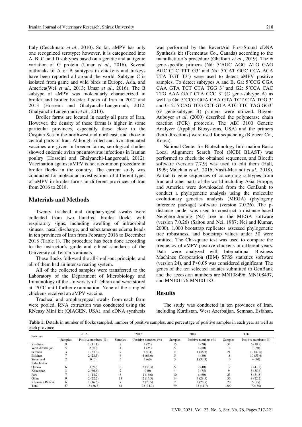Italy (Cecchinato et al., 2010). So far, aMPV has only one recognized serotype; however, it is categorized into A, B, C, and D subtypes based on a genetic and antigenic variation of G protein (Umar et al., 2016). Several outbreaks of A or B subtypes in chickens and turkeys have been reported all around the world. Subtype C is isolated from game and wild birds in Europe, Asia, and America(Wei et al., 2013; Umar et al., 2016). The B subtype of aMPV was molecularly characterized in broiler and broiler breeder flocks of Iran in 2012 and 2013 (Hosseini and Ghalyanchi-Langeroudi, 2012; Ghalyanchi-Langeroudi et al., 2013).

Broiler farms are located in nearly all parts of Iran. However, the density of these farms is higher in some particular provinces, especially those close to the Caspian Sea in the northwest and northeast, and those in central parts of Iran. Although killed and live attenuated vaccines are given in breeder farms, serological studies showed endemic avian pneumovirus infections in Iranian poultry (Hosseini and Ghalyanchi-Langeroudi, 2012). Vaccination against aMPV is not a common procedure in broiler flocks in the country. The current study was conducted for molecular investigations of different types of aMPV in broiler farms in different provinces of Iran from 2016 to 2018.

## **Materials and Methods**

Twenty tracheal and oropharyngeal swabs were collected from two hundred broiler flocks with respiratory signs, including swelling of infraorbital sinuses, nasal discharge, and subcutaneous edema heads in ten provinces of Iran from February 2016 to December 2018 (Table 1). The procedure has been done according to the instructor's guide and ethical standards of the University of Tehran's animals.

These flocks followed the all-in-all-out principle, and all of them had an intense rearing system.

All of the collected samples were transferred to the Laboratory of the Department of Microbiology and Immunology of the University of Tehran and were stored at -70°C until further examination. None of the sampled chickens received an aMPV vaccine.

Tracheal and oropharyngeal swabs from each farm were pooled. RNA extraction was conducted using the RNeasy Mini kit (QIAGEN, USA), and cDNA synthesis was performed by the RevertAid First-Strand cDNA Synthesis kit (Fermentas Co., Canada) according to the manufacturer's procedure (Ghafouri et al., 2019). The N gene-specific primers (Nd: 5'AGC AGG ATG GAG AGC CTC TTT G3' and Nx: 5'CAT GGC CCA ACA TTA TGT T3<sup>2</sup> were used to detect aMPV positive samples. To detect subtypes A and B, Ga: 5 CCG GGA CAA GTA TCT CTA TGG 3' and G2: 5 CCA CAC TTG AAA GAT CTA CCC  $3'$  (G gene-subtype A) as well as Ga: 5'CCG GGA CAA GTA TCT CTA TGG 3' and G12: 5 CAG TCG CCT GTA ATC TTC TAG GG3 (G gene-subtype B) primers were utilized. Bäyon-Auboyer et al. (2000) described the polymerase chain reaction (PCR) protocols. The ABI 3100 Genetic Analyzer (Applied Biosystems, USA) and the primers (both directions) were used for sequencing (Bioneer Co., Korea).

National Center for Biotechnology Information Basic Local Alignment Search Tool (NCBI BLAST) was performed to check the obtained sequences, and Bioedit software (version 7.7.9) was used to edit them (Hall, 1999; Malekan et al., 2016; Vasfi-Marandi et al., 2018). Partial G gene sequences of concerning subtypes from Iran and other parts of the world including Asia, Europe, and America were downloaded from the GenBank to conduct a phylogenetic analysis using the molecular evolutionary genetics analysis (MEGA) (phylogeny inference package) software (version 7.0.26). The pdistance model was used to construct a distance-based Neighbor-Joining (NJ) tree in the MEGA software (version 7.0.26) (Saitou and Nei, 1987; Nei and Kumar, 2000). 1,000 bootstrap replicates assessed phylogenetic tree robustness, and bootstrap values under 50 were omitted. The Chi-square test was used to compare the frequency of aMPV positive chickens in different years. Data were analyzed with International Business Machines Corporation (IBM) SPSS statistics software (version 24), and  $P \le 0.05$  was considered significant. The genes of the ten selected isolates submitted to GenBank and the accession numbers are MN108496, MN108497, and MN101176-MN101183.

# **Results**

The study was conducted in ten provinces of Iran, including Kurdistan, West Azerbaijan, Semnan, Esfahan,

Table 1: Details in number of flocks sampled, number of positive samples, and percentage of positive samples in each year as well as each province

| Province        | 2016    |                         | 2017    |                         | 2018         |                         | Total   |                         |
|-----------------|---------|-------------------------|---------|-------------------------|--------------|-------------------------|---------|-------------------------|
|                 | Samples | Positive numbers $(\%)$ | Samples | Positive numbers $(\%)$ | Samples      | Positive numbers $(\%)$ | Samples | Positive numbers $(\%)$ |
| Kurdistan       |         | 1(11.1)                 | Ō.      | 2(25)                   | 15           | 3(20)                   | 32      | 6(18.8)                 |
| West Azerbaijan |         | 2(40)                   | 4       | 1(25)                   |              | 4(80)                   | 14      | 7(50)                   |
| Semnan          |         | (33.3)                  |         | 5(1.4)                  | 11           | 4(36.3)                 | 21      | 10(47.6)                |
| Esfahan         |         | 2(28.5)                 | 6       | 4(66.6)                 |              | 4(80)                   | 18      | 10(55.6)                |
| Sistan and      |         | 0(0)                    |         | 3(60)                   |              | 1(33.3)                 | 10      | 4(40)                   |
| Baluchistan     |         |                         |         |                         |              |                         |         |                         |
| Oazvin          | 6       | 3(50)                   | 6       | 2(33.3)                 |              | 2(40)                   | 17      | 7(41.2)                 |
| Khuzestan       |         | 2(66.6)                 | ◠       | 0(0)                    | 4            | 3(75)                   | Q       | 5(55.6)                 |
| Fars            |         | 1(14.2)                 | 6       | 1(16.6)                 | 10           | 6(60)                   | 23      | 8(34.8)                 |
| Gilan           |         | 2(22.2)                 | 13      | 2(15.3)                 | 14           | 4(28.5)                 | 36      | 8(22.2)                 |
| Khorasan Razavi | 6       | 1(16.6)                 |         | 2(28.5)                 | $\mathbf{r}$ | 2(28.5)                 | 20      | 5(25)                   |
| Total           | 57      | 15(26.3)                | 64      | 22(34.3)                | 79           | 33(41.7)                | 200     | 70(35)                  |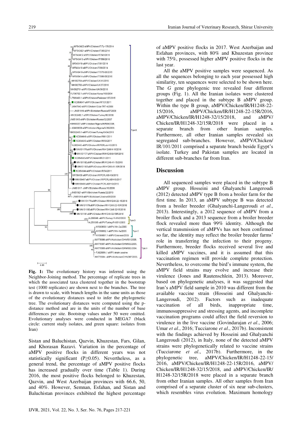

Fig. 1: The evolutionary history was inferred using the Neighbor-Joining method. The percentage of replicate trees in which the associated taxa clustered together in the bootstrap test (1000 replicates) are shown next to the branches. The tree is drawn to scale, with branch lengths in the same units as those of the evolutionary distances used to infer the phylogenetic tree. The evolutionary distances were computed using the pdistance method and are in the units of the number of base differences per site. Bootstrap values under 50 were omitted. Evolutionary analyses were conducted in MEGA7 (black circle: current study isolates, and green square: isolates from Iran)

Sistan and Baluchistan, Qazvin, Khuzestan, Fars, Gilan, and Khorasan Razavi. Variation in the percentage of aMPV positive flocks in different years was not statistically significant ( $P \ge 0.05$ ). Nevertheless, as a general trend, the percentage of aMPV positive flocks has increased gradually over time (Table 1). During 2016, the most positive flocks belonged to Khuzestan, Qazvin, and West Azerbaijan provinces with 66.6, 50, and 40%. However, Semnan, Esfahan, and Sistan and Baluchistan provinces exhibited the highest percentage of aMPV positive flocks in 2017. West Azerbaijan and Esfahan provinces, with 80% and Khuzestan province with 75%, possessed higher aMPV positive flocks in the last year.

All the aMPV positive samples were sequenced. As all the sequences belonging to each year possessed high similarity, ten sequences were selected to be shown here. The G gene phylogenic tree revealed four different groups (Fig. 1). All the Iranian isolates were clustered together and placed in the subtype B aMPV group. Within the type B group, aMPV/Chicken/IR/H1248-22-15/2016. aMPV/Chicken/IR/H1248-22-15R/2016, aMPV/Chicken/IR/H1248-32/15/2018, aMPV/ and Chicken/IR/H1248-32/15R/2018 were placed in a separate branch from other Iranian samples. Furthermore, all other Iranian samples revealed six segregated sub-branches. However, aMPV/Chicken/ IR/101/2011 comprised a separate branch beside Egypt's isolate. Turkey and Pakistan samples are located in different sub-branches far from Iran.

# **Discussion**

All sequenced samples were placed in the subtype B aMPV group. Hosseini and Ghalyanchi Langeroudi (2012) detected aMPV type B from a broiler farm for the first time. In 2013, an aMPV subtype B was detected from a broiler breeder (Ghalyanchi-Langeroudi et al., 2013). Interestingly, a 2012 sequence of aMPV from a broiler flock and a 2013 sequence from a broiler breeder flock revealed more than 99% identity. Although the vertical transmission of aMPVs has not been confirmed so far, the identity may reflect the broiler breeder farms' role in transferring the infection to their progeny. Furthermore, breeder flocks received several live and killed aMPV vaccines, and it is assumed that this vaccination regimen will provide complete protection. Nevertheless, to overcome the bird's immune system, the aMPV field strains may evolve and increase their virulence (Jones and Rautenschlein, 2013). Moreover, based on phylogenetic analyses, it was suggested that Iran's aMPV field sample in 2010 was different from the available vaccine strain (Hosseini and Ghalyanchi-2012). Factors such as inadequate Langeroudi. vaccination of all birds, inappropriate time, immunosuppressive and stressing agents, and incomplete vaccination programs could affect the field reversion to virulence in the live vaccine (Govindarajan et al., 2006; Umar et al., 2016; Tucciarone et al., 2017b). Inconsistent with the findings achieved by Hosseini and Ghalyanchi Langeroudi (2012), in Italy, none of the detected aMPV strains were phylogenetically related to vaccine strains (Tucciarone et al., 2017b). Furthermore, in the aMPV/Chicken/IR/H1248-22-15/ phylogenetic tree, 2016, aMPV/Chicken/IR/H1248-22-15R/2016, aMPV/ Chicken/IR/H1248-32/15/2018, and aMPV/Chicken/IR/ H1248-32/15R/2018 were placed in a separate branch from other Iranian samples. All other samples from Iran comprised of a separate cluster of six near sub-clusters, which resembles virus evolution. Maximum homology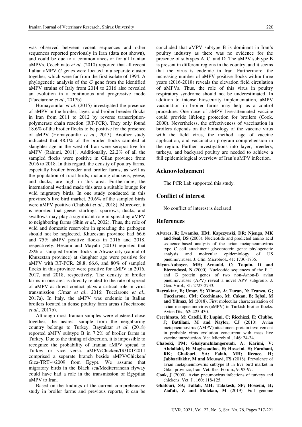was observed between recent sequences and other sequences reported previously in Iran (data not shown), and could be due to a common ancestor for all Iranian aMPVs. Cecchinato et al. (2010) reported that all recent Italian aMPV G genes were located in a separate cluster together, which were far from the first isolate of 1994. A phylogenetic analysis of the  $G$  gene from the identified aMPV strains of Italy from 2014 to 2016 also revealed an evolution in a continuous and progressive mode (Tucciarone et al., 2017b).

Homayounfar et al. (2015) investigated the presence of aMPV in the broiler, layer, and broiler breeder flocks in Iran from 2011 to 2012 by reverse transcriptionpolymerase chain reaction (RT-PCR). They only found 18.6% of the broiler flocks to be positive for the presence of aMPV (Homayounfar et al., 2015). Another study indicated that 48.1% of the broiler flocks sampled at slaughter age in the west of Iran were seropositive for aMPV (Rahimi, 2011). Additionally, 22.2% of all the sampled flocks were positive in Gilan province from 2016 to 2018. In this regard, the density of poultry farms, especially broiler breeder and broiler farms, as well as the population of rural birds, including chickens, geese, and ducks, are high in this area. Furthermore, the international wetland made this area a suitable lounge for wild migratory birds. In one study conducted in this province's live bird market, 30.6% of the sampled birds were aMPV positive (Chaboki et al., 2018). Moreover, it is reported that geese, starlings, sparrows, ducks, and swallows may play a significant role in spreading aMPV to neighboring farms (Shin et al., 2002). Thus, the role of wild and domestic reservoirs in spreading the pathogen should not be neglected. Khuzestan province had 66.6 and 75% aMPV positive flocks in 2016 and 2018, respectively. Hesami and Mayahi (2013) reported that 28% of sampled broiler flocks in Ahwaz city (capital of Khuzestan province) at slaughter age were positive for aMPV with RT-PCR. 28.8, 66.6, and 80% of sampled flocks in this province were positive for aMPV in 2016, 2017, and 2018, respectively. The density of broiler farms in one area is directly related to the rate of spread of aMPV as direct contact plays a critical role in virus transmission (Umar et al., 2016; Tucciarone et al., 2017a). In Italy, the aMPV was endemic in Italian broilers located in dense poultry farm areas (Tucciarone *et al.*, 2017b).

Although most Iranian samples were clustered close together, the nearest sample from the neighboring country belongs to Turkey. Bayraktar et al. (2018) reported aMPV subtype B in 7.2% of broiler farms in Turkey. Due to the timing of detection, it is impossible to recognize the probability of Iranian aMPV spread to Turkey or vice versa. aMPV/Chicken/IR/101/2011 comprised a separate branch beside aMPV/Chicken/ Giza-TRT-4/2009 from Egypt. We assume that migratory birds in the Black sea/Mediterranean flyway could have had a role in the transmission of Egyptian aMPV to Iran.

Based on the findings of the current comprehensive study in broiler farms and previous reports, it can be concluded that aMPV subtype B is dominant in Iran's poultry industry as there was no evidence for the presence of subtypes A, C, and D. The aMPV subtype B is present in different regions in the country, and it seems that the virus is endemic in Iran. Furthermore, the increasing number of aMPV positive flocks within three years (2016-2018) reveals the elevation field circulation of aMPVs. Thus, the role of this virus in poultry respiratory syndrome should not be underestimated. In addition to intense biosecurity implementation, aMPV vaccination in broiler farms may help as a control procedure. One dose of aMPV live-attenuated vaccine could provide lifelong protection for broilers (Cook, 2000). Nevertheless, the effectiveness of vaccination in broilers depends on the homology of the vaccine virus with the field virus, the method, age of vaccine application, and vaccination program comprehension in the region. Further investigations into layer, breeders, turkeys, and backyard poultry are needed to achieve a full epidemiological overview of Iran's aMPV infection.

#### Acknowledgement

The PCR Lab supported this study.

#### **Conflict of interest**

No conflict of interest is declared.

# **References**

- Alvarez, R; Lwamba, HM; Kapczynski, DR; Njenga, MK and Seal, BS (2003). Nucleotide and predicted amino acid sequence-based analysis of the avian metapneumovirus type C cell attachment glycoprotein gene: phylogenetic analysis and molecular epidemiology of US<sup>-</sup> pneumoviruses. J. Clin. Microbiol., 41: 1730-1735.
- Bäyon-Auboyer, MH; Arnauld, C; Toquin, D and **Eterradossi, N** (2000). Nucleotide sequences of the F, L and G protein genes of two non-A/non-B avian pneumoviruses (APV) reveal a novel APV subgroup. J. Gen. Virol., 81: 2723-2733.
- Bayraktar, E; Umar, S; Yilmaz, A; Turan, N; Franzo, G; Tucciarone, CM; Cecchinato, M; Cakan, B; Iqbal, M and Yilmaz, M (2018). First molecular characterization of avian metapneumovirus (aMPV) in Turkish broiler flocks. Avian Dis., 62: 425-430.
- Cecchinato, M; Catelli, E; Lupini, C; Ricchizzi, E; Clubbe, J; Battilani, M and Naylor, CJ (2010). Avian metapneumovirus (AMPV) attachment protein involvement in probable virus evolution concurrent with mass live vaccine introduction. Vet. Microbiol., 146: 24-34.
- Chaboki, PM; Ghalvanchilangeroudi, A; Karimi, V; Abdollahi, H; Maghsoudloo, H; Hosseini, H; Farahani, RK; Ghafouri, SA; Falah, MH; Rezaee, H; Jabbarifakhr, M and Mousavi, FS (2018). Prevalence of avian metapneumovirus subtype B in live bird market in Gilan province, Iran. Vet. Res. Forum., 9: 93-97.
- Cook, J (2000). Avian pneumovirus infections of turkeys and chickens. Vet. J., 160: 118-125.
- Ghafouri, SA; Fallah, MH; Talakesh, SF; Hosseini, H; Ziafati, Z and Malekan, M (2019). Full genome